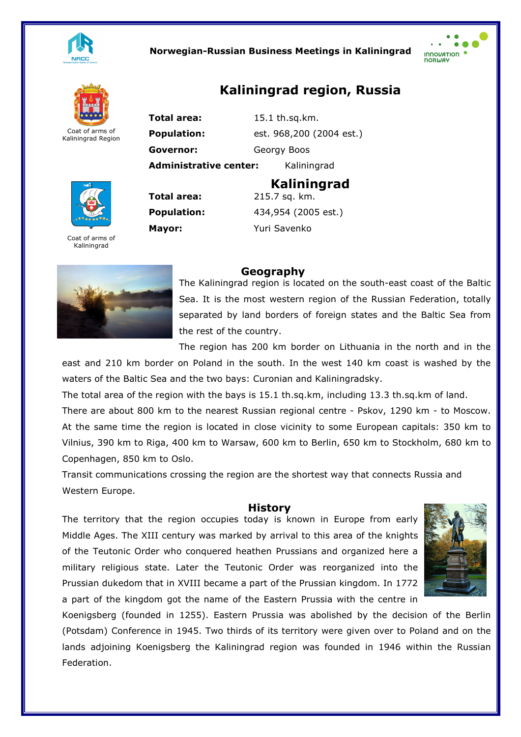

## Norwegian-Russian Business Meetings in Kaliningrad





Kaliningrad Region

Total area: 15.1 th.sq.km. **Population:** est. 968,200 (2004 est.) Governor:Georgy Boos Administrative center: Kaliningrad

Kaliningrad

Kaliningrad region, Russia



Coat of arms of Kaliningrad



Copenhagen, 850 km to Oslo.

# Geography

Total area: 215.7 sq. km.

Mayor: Yuri Savenko

Population: 434,954 (2005 est.)

The Kaliningrad region is located on the south-east coast of the Baltic Sea. It is the most western region of the Russian Federation, totally separated by land borders of foreign states and the Baltic Sea from the rest of the country.

The region has 200 km border on Lithuania in the north and in the

east and 210 km border on Poland in the south. In the west 140 km coast is washed by the waters of the Baltic Sea and the two bays: Curonian and Kaliningradsky.

The total area of the region with the bays is 15.1 th.sq.km, including 13.3 th.sq.km of land. There are about 800 km to the nearest Russian regional centre - Pskov, 1290 km - to Moscow. At the same time the region is located in close vicinity to some European capitals: 350 km to

Vilnius, 390 km to Riga, 400 km to Warsaw, 600 km to Berlin, 650 km to Stockholm, 680 km to

Transit communications crossing the region are the shortest way that connects Russia and Western Europe.

#### History

The territory that the region occupies today is known in Europe from early Middle Ages. The XIII century was marked by arrival to this area of the knights of the Teutonic Order who conquered heathen Prussians and organized here a military religious state. Later the Teutonic Order was reorganized into the Prussian dukedom that in XVIII became a part of the Prussian kingdom. In 1772 a part of the kingdom got the name of the Eastern Prussia with the centre in



Koenigsberg (founded in 1255). Eastern Prussia was abolished by the decision of the Berlin (Potsdam) Conference in 1945. Two thirds of its territory were given over to Poland and on the lands adjoining Koenigsberg the Kaliningrad region was founded in 1946 within the Russian Federation.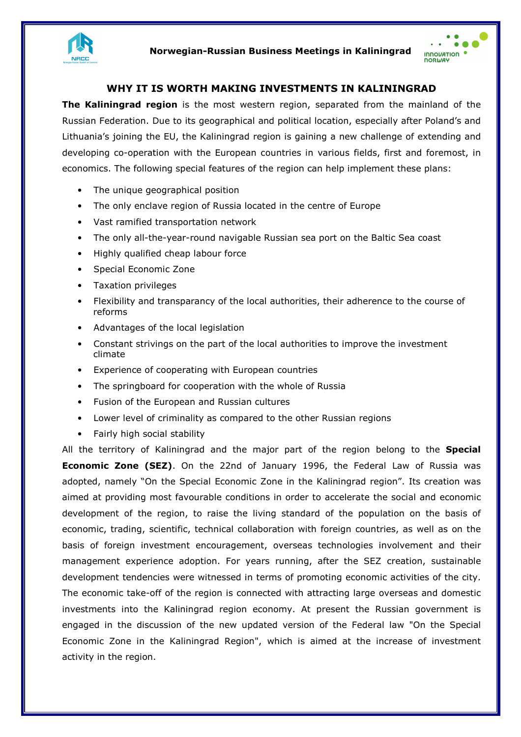



## WHY IT IS WORTH MAKING INVESTMENTS IN KALININGRAD

**The Kaliningrad region** is the most western region, separated from the mainland of the Russian Federation. Due to its geographical and political location, especially after Poland's and Lithuania's joining the EU, the Kaliningrad region is gaining a new challenge of extending and developing co-operation with the European countries in various fields, first and foremost, in economics. The following special features of the region can help implement these plans:

- The unique geographical position
- The only enclave region of Russia located in the centre of Europe
- Vast ramified transportation network
- The only all-the-year-round navigable Russian sea port on the Baltic Sea coast
- Highly qualified cheap labour force
- Special Economic Zone
- Taxation privileges
- Flexibility and transparancy of the local authorities, their adherence to the course of reforms
- Advantages of the local legislation
- Constant strivings on the part of the local authorities to improve the investment climate
- Experience of cooperating with European countries
- The springboard for cooperation with the whole of Russia
- Fusion of the European and Russian cultures
- Lower level of criminality as compared to the other Russian regions
- Fairly high social stability

All the territory of Kaliningrad and the major part of the region belong to the Special **Economic Zone (SEZ).** On the 22nd of January 1996, the Federal Law of Russia was adopted, namely "On the Special Economic Zone in the Kaliningrad region". Its creation was aimed at providing most favourable conditions in order to accelerate the social and economic development of the region, to raise the living standard of the population on the basis of economic, trading, scientific, technical collaboration with foreign countries, as well as on the basis of foreign investment encouragement, overseas technologies involvement and their management experience adoption. For years running, after the SEZ creation, sustainable development tendencies were witnessed in terms of promoting economic activities of the city. The economic take-off of the region is connected with attracting large overseas and domestic investments into the Kaliningrad region economy. At present the Russian government is engaged in the discussion of the new updated version of the Federal law "On the Special Economic Zone in the Kaliningrad Region", which is aimed at the increase of investment activity in the region.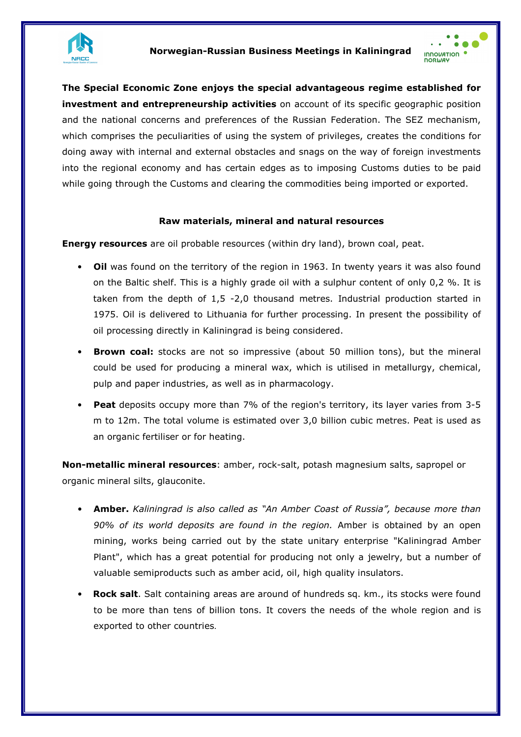



The Special Economic Zone enjoys the special advantageous regime established for investment and entrepreneurship activities on account of its specific geographic position and the national concerns and preferences of the Russian Federation. The SEZ mechanism, which comprises the peculiarities of using the system of privileges, creates the conditions for doing away with internal and external obstacles and snags on the way of foreign investments into the regional economy and has certain edges as to imposing Customs duties to be paid while going through the Customs and clearing the commodities being imported or exported.

## Raw materials, mineral and natural resources

**Energy resources** are oil probable resources (within dry land), brown coal, peat.

- Oil was found on the territory of the region in 1963. In twenty years it was also found on the Baltic shelf. This is a highly grade oil with a sulphur content of only 0,2 %. It is taken from the depth of 1,5 -2,0 thousand metres. Industrial production started in 1975. Oil is delivered to Lithuania for further processing. In present the possibility of oil processing directly in Kaliningrad is being considered.
- Brown coal: stocks are not so impressive (about 50 million tons), but the mineral could be used for producing a mineral wax, which is utilised in metallurgy, chemical, pulp and paper industries, as well as in pharmacology.
- Peat deposits occupy more than 7% of the region's territory, its layer varies from 3-5 m to 12m. The total volume is estimated over 3,0 billion cubic metres. Peat is used as an organic fertiliser or for heating.

Non-metallic mineral resources: amber, rock-salt, potash magnesium salts, sapropel or organic mineral silts, glauconite.

- Amber. Kaliningrad is also called as "An Amber Coast of Russia", because more than 90% of its world deposits are found in the region. Amber is obtained by an open mining, works being carried out by the state unitary enterprise "Kaliningrad Amber Plant", which has a great potential for producing not only a jewelry, but a number of valuable semiproducts such as amber acid, oil, high quality insulators.
- Rock salt. Salt containing areas are around of hundreds sq. km., its stocks were found to be more than tens of billion tons. It covers the needs of the whole region and is exported to other countries.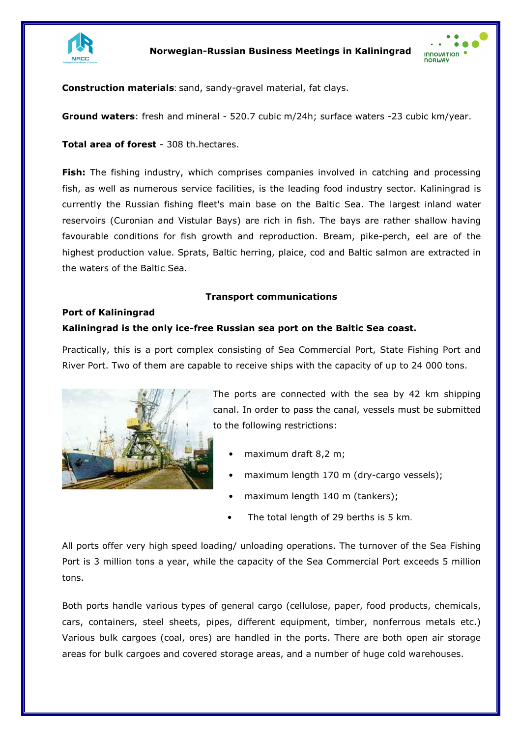



Construction materials: sand, sandy-gravel material, fat clays.

Ground waters: fresh and mineral - 520.7 cubic m/24h; surface waters -23 cubic km/year.

Total area of forest - 308 th.hectares.

Fish: The fishing industry, which comprises companies involved in catching and processing fish, as well as numerous service facilities, is the leading food industry sector. Kaliningrad is currently the Russian fishing fleet's main base on the Baltic Sea. The largest inland water reservoirs (Curonian and Vistular Bays) are rich in fish. The bays are rather shallow having favourable conditions for fish growth and reproduction. Bream, pike-perch, eel are of the highest production value. Sprats, Baltic herring, plaice, cod and Baltic salmon are extracted in the waters of the Baltic Sea.

## Transport communications

## Port of Kaliningrad

## Kaliningrad is the only ice-free Russian sea port on the Baltic Sea coast.

Practically, this is a port complex consisting of Sea Commercial Port, State Fishing Port and River Port. Two of them are capable to receive ships with the capacity of up to 24 000 tons.



The ports are connected with the sea by 42 km shipping canal. In order to pass the canal, vessels must be submitted to the following restrictions:

- maximum draft 8,2 m;
- maximum length 170 m (dry-cargo vessels);
- maximum length 140 m (tankers);
- The total length of 29 berths is 5 km.

All ports offer very high speed loading/ unloading operations. The turnover of the Sea Fishing Port is 3 million tons a year, while the capacity of the Sea Commercial Port exceeds 5 million tons.

Both ports handle various types of general cargo (cellulose, paper, food products, chemicals, cars, containers, steel sheets, pipes, different equipment, timber, nonferrous metals etc.) Various bulk cargoes (coal, ores) are handled in the ports. There are both open air storage areas for bulk cargoes and covered storage areas, and a number of huge cold warehouses.